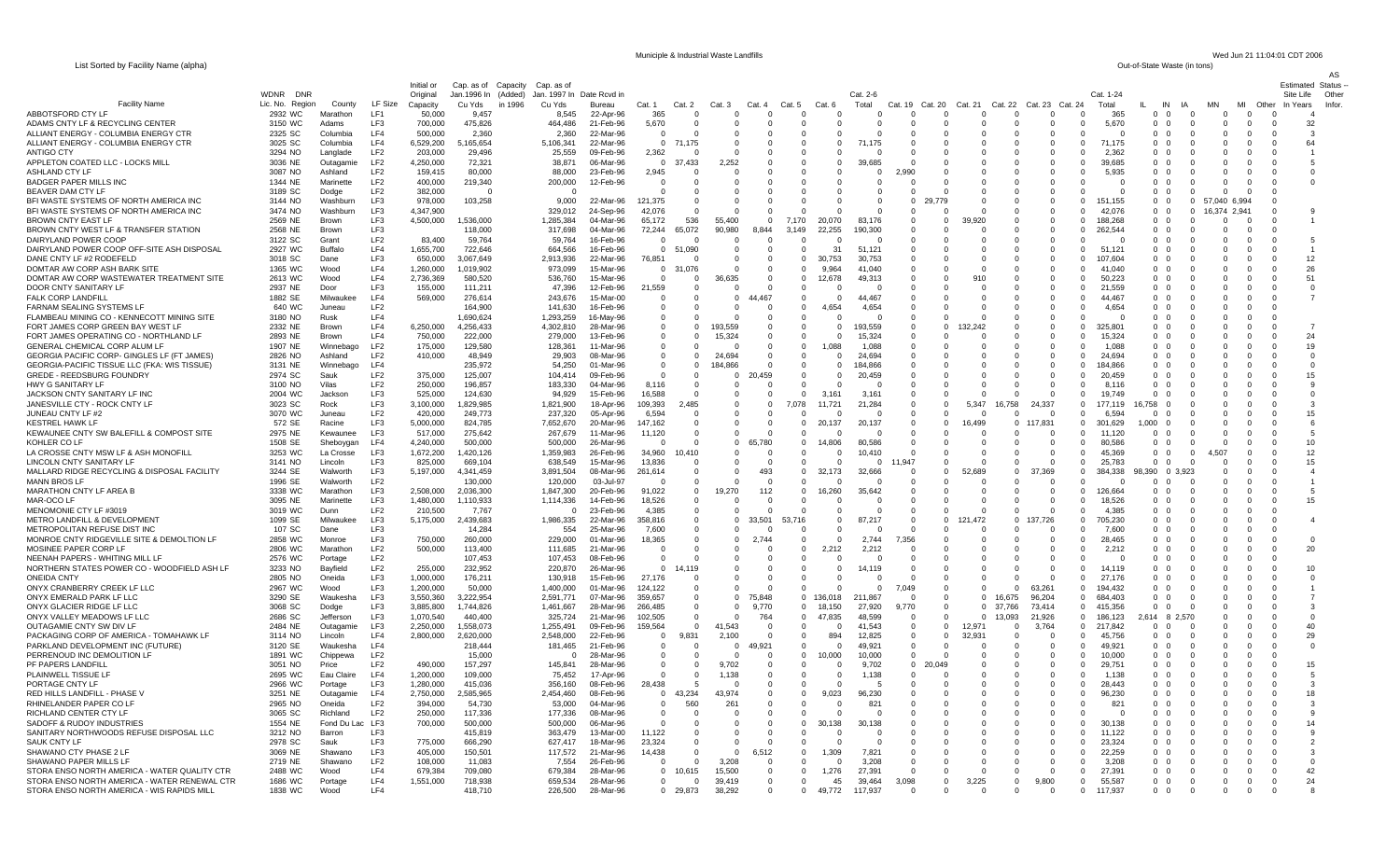List Sorted by Facility Name (alpha)

Municiple & Industrial Waste Landfills Wed Jun 21 11:04:01 CDT 2006<br>
Out-of-State Waste (in tons)

AS

|                                                                            |                                              |                         |                        | Initial or             | Cap. as of Capacity           |         | Cap. as of             |                        |                            |                            |                      |                      |                            |                         |                   |                         |                      |                      |                      |                                                 |                                                |                                              |                         |           |                      | Estimated             | <b>Status</b>   |
|----------------------------------------------------------------------------|----------------------------------------------|-------------------------|------------------------|------------------------|-------------------------------|---------|------------------------|------------------------|----------------------------|----------------------------|----------------------|----------------------|----------------------------|-------------------------|-------------------|-------------------------|----------------------|----------------------|----------------------|-------------------------------------------------|------------------------------------------------|----------------------------------------------|-------------------------|-----------|----------------------|-----------------------|-----------------|
| <b>Facility Name</b>                                                       | <b>DNR</b><br><b>WDNR</b><br>Lic. No. Region | County                  | LF Size                | Original<br>Capacity   | Jan.1996 In (Added)<br>Cu Yds | in 1996 | Jan. 1997 In<br>Cu Yds | Date Rcvd in<br>Bureau | Cat. 1                     | Cat. 2                     | Ca                   | Cat.                 | Cat.                       | Cat.                    | Cat. 2-6<br>Total | Cat.<br>19              | Cat. 20              | Cat. 21              | Cat. 22              | Cat. 23 Cat. 24                                 | Cat. 1-24<br>Total                             | IN                                           | IA                      | <b>MN</b> | MI<br>Other          | Site Life<br>In Years | Other<br>Infor. |
| ABBOTSFORD CTY I                                                           | 2932 WC                                      | Marathon                | <b>IF1</b>             | 50,000                 | 9,457                         |         | 8,545                  | 22-Apr-96              | 365                        | $\Omega$                   |                      |                      | $\Omega$                   | $\Omega$                |                   | $\Omega$                |                      |                      | $\Omega$             | $\Omega$                                        | 365                                            | $\Omega$<br>$\Omega$                         | $\Omega$                |           | $\Omega$             |                       | $\overline{A}$  |
| ADAMS CNTY LF & RECYCLING CENTER                                           | 3150 WC                                      | Adams                   | LF3                    | 700,000                | 475,826                       |         | 464,486                | 21-Feb-96              | 5,670                      | $\Omega$                   |                      |                      | $\Omega$                   | $\Omega$                |                   |                         |                      |                      | $\Omega$             | $\Omega$                                        | 5,670<br>$\Omega$                              | $\Omega$<br>- 0                              | $\Omega$                |           | $\Omega$             | - 0                   | 32              |
| ALLIANT ENERGY - COLUMBIA ENERGY CTR                                       | 2325 SC                                      | Columbia                | IF4                    | 500,000                | 2,360                         |         | 2,360                  | 22-Mar-96              | $\Omega$                   | $\Omega$                   | $\Omega$             | $\Omega$             | $\Omega$                   | $\Omega$                |                   | $\Omega$                | - 0                  | $\Omega$             | $\Omega$             | $\Omega$<br>$\Omega$                            | $\Omega$                                       | $\Omega$<br>$\Omega$                         | $\Omega$                |           | - 0                  | $\Omega$              | -3              |
| ALLIANT ENERGY - COLUMBIA ENERGY CTR<br>ANTIGO CTY                         | 3025 SC<br>3294 NO                           | Columbia<br>Langlade    | IF4<br>LF <sub>2</sub> | 6,529,200<br>203,000   | 5,165,654<br>29.496           |         | 5,106,341<br>25,559    | 22-Mar-96<br>09-Feb-96 | $\Omega$<br>2,362          | 71,175<br>- 0              |                      | $\cap$               | $\Omega$<br>$\Omega$       | $\Omega$<br>$\Omega$    | .175              | $\Omega$                |                      |                      | $\Omega$<br>$\Omega$ | $\Omega$<br>$\Omega$<br>$\Omega$<br>$\Omega$    | 71,175<br>2,362                                | $\Omega$<br>$\Omega$<br>0 0                  | $\Omega$                |           | $\Omega$<br>$\Omega$ | $\cap$<br>- 0         | 64              |
| APPLETON COATED LLC - LOCKS MILL                                           | 3036 NE                                      | Outagamie               | LF <sub>2</sub>        | 4,250,000              | 72,321                        |         | 38,871                 | 06-Mar-96              | $\Omega$                   | 37,433                     | 2,252                |                      | $\Omega$                   | $\Omega$                | 39,685            |                         |                      |                      | $\Omega$             | $\Omega$                                        | 39,685<br>$\Omega$                             | 0 <sub>0</sub>                               | $\Omega$                |           | $\Omega$             | $\cap$                | 5               |
| ASHLAND CTY LF                                                             | 3087 NO                                      | Ashland                 | LF <sub>2</sub>        | 159,415                | 80,000                        |         | 88,000                 | 23-Feb-96              | 2,945                      |                            |                      |                      | $\Omega$                   | $\Omega$                | $\Omega$          | .990                    |                      |                      | $\Omega$             | $\mathbf{0}$<br>0                               | 5,935                                          | $0\quad 0$                                   | 0                       |           | - 0                  | - 0                   | O               |
| <b>BADGER PAPER MILLS INC</b>                                              | 1344 NE                                      | Marinette               | LF <sub>2</sub>        | 400,000                | 219,340                       |         | 200,000                | 12-Feb-96              | $\Omega$                   | $\Omega$                   |                      |                      | $\Omega$                   | $\Omega$                |                   |                         |                      |                      | $\Omega$             | $\Omega$<br>$\Omega$                            |                                                | 0 0                                          | $\Omega$                |           | - 0                  |                       |                 |
| BEAVER DAM CTY LF<br>BFI WASTE SYSTEMS OF NORTH AMERICA INC                | 3189 SC<br>3144 NO                           | Dodge<br>Washburn       | LF <sub>2</sub><br>LF3 | 382,000<br>978,000     | $\sqrt{ }$<br>103,258         |         | $\Omega$<br>9,000      | 22-Mar-96              | $\Omega$<br>121,375        | $\Omega$<br>$\overline{0}$ |                      |                      | $\Omega$<br>$\mathbf 0$    | $\Omega$<br>$\mathbf 0$ |                   | $\Omega$<br>$\mathbf 0$ |                      |                      | $\Omega$             | $\Omega$<br>$\Omega$<br>$\mathbf{0}$            | $\Omega$<br>$^{\circ}$<br>151.155              | 0 0<br>$0\quad 0$                            | $\Omega$<br>$\mathbf 0$ | 57.040    | - 0<br>6.994         | $\Omega$              |                 |
| BFI WASTE SYSTEMS OF NORTH AMERICA INC                                     | 3474 NO                                      | Washburn                | LF3                    | 4.347.900              |                               |         | 329,012                | 24-Sep-96              | 42.076                     | $\Omega$                   |                      |                      |                            | $\Omega$                |                   | $\Omega$                |                      |                      | $\Omega$             | $\Omega$                                        | $\Omega$<br>42.076                             | 0 <sub>0</sub>                               | $\Omega$                | 16.374    | 2.941                |                       |                 |
| BROWN CNTY EAST LF                                                         | 2569 NE                                      | Brown                   | LF3                    | 4,500,000              | 1,536,000                     |         | 1.285.384              | 04-Mar-96              | 65.172                     | 536                        | 55.400               |                      | 7.170                      | 20.070                  | 83.176            |                         |                      | 39,920               |                      |                                                 | $\Omega$<br>188.268                            | 0 <sub>0</sub>                               |                         | $\Omega$  | $\Omega$             |                       |                 |
| BROWN CNTY WEST LF & TRANSFER STATION                                      | 2568 NE                                      | Brown                   | LF3                    |                        | 118,000                       |         | 317,698                | 04-Mar-96              | 72,244                     | 65,072                     | 90,980               | 8,844                | 3,149                      | 22,255                  | 190,300           | $\Omega$                |                      |                      | $\Omega$             | $\Omega$                                        | 262,544<br>$\Omega$                            | 0 <sub>0</sub>                               | $\Omega$                |           | $\Omega$             |                       |                 |
| DAIRYLAND POWER COOP<br>DAIRYLAND POWER COOP OFF-SITE ASH DISPOSAL         | 3122 SC<br>2927 WC                           | Grant<br>Buffalo        | LF <sub>2</sub><br>LF4 | 83,400<br>1,655,700    | 59,764<br>722,646             |         | 59,764<br>664,566      | 16-Feb-96<br>16-Feb-96 | $\Omega$<br>$\overline{0}$ | 51,090                     | $\Omega$<br>$\Omega$ | $\Omega$             | $\Omega$<br>$\Omega$       | -0<br>31                | 51,121            | $\Omega$<br>$\Omega$    |                      | O                    | $\Omega$<br>$\Omega$ | $\Omega$<br>$\Omega$<br>$\Omega$                | $\Omega$<br>51,121<br>$\Omega$                 | 0 <sub>0</sub><br>0 O                        | $\Omega$<br>n           |           | $\Omega$<br>$\Omega$ |                       | 5               |
| DANE CNTY LF #2 RODEFELD                                                   | 3018 SC                                      | Dane                    | LF3                    | 650,000                | 3,067,649                     |         | 2,913,936              | 22-Mar-96              | 76,851                     |                            | - 0                  | -0                   | $\mathbf{0}$               | 30,753                  | 30,753            | $\Omega$                |                      |                      | $\Omega$             | $\Omega$                                        | 107.60<br>$\Omega$                             | 0 <sub>0</sub>                               |                         |           | $\Omega$             |                       | 12              |
| DOMTAR AW CORP ASH BARK SITE                                               | 1365 WC                                      | Wood                    | LF4                    | 1.260.000              | 1.019.902                     |         | 973.099                | 15-Mar-96              | $\Omega$                   | 31.076                     | $\Omega$             | - 0                  | $\Omega$                   | 9.964                   | 41.040            | n                       |                      |                      | $\Omega$             | $\Omega$                                        | 41.040<br>$\Omega$                             | 0 0                                          | n                       |           | $\Omega$             |                       | 26              |
| DOMTAR AW CORP WASTEWATER TREATMENT SITE                                   | 2613 WC                                      | Wood                    | LF4                    | 2,736,369              | 580,520                       |         | 536,760                | 15-Mar-96              | $\Omega$                   | $\Omega$                   | ,635                 |                      | $\Omega$                   | 12,678                  | 49,313            | n                       |                      | 910                  | $\Omega$             | $\Omega$<br>$\Omega$                            | 50,223                                         | 0 <sub>0</sub>                               |                         |           | $\Omega$             |                       | 51              |
| DOOR CNTY SANITARY LF<br><b>FALK CORP LANDFILL</b>                         | 2937 NE<br>1882 SE                           | Door<br>Milwaukee       | LF <sub>3</sub><br>IF4 | 155,000<br>569,000     | 111,211<br>276,614            |         | 47,396<br>243,676      | 12-Feb-96<br>15-Mar-00 | 21,559<br>- 0              | - 0<br>$\Omega$            | $\Omega$<br>$\Omega$ | 467                  | $\Omega$<br>$\Omega$       | -0<br>$\Omega$          | 44.467            | 0                       |                      | $\Omega$<br>$\Omega$ | $\Omega$<br>$\Omega$ | $\Omega$<br>- 0<br>$\Omega$<br>$\Omega$         | 21,559<br>44 467                               | 0 0<br>0 O                                   | 0<br>n                  | $\Omega$  | $\Omega$<br>$\Omega$ |                       | -0              |
| FARNAM SEALING SYSTEMS LF                                                  | 640 WC                                       | Juneau                  | IF2                    |                        | 164,900                       |         | 141,630                | 16-Feb-96              | $\Omega$                   | $\Omega$                   | $\Omega$             | $\Omega$             | $\Omega$                   | 4.654                   | 4,654             | $\Omega$                |                      |                      | $\Omega$             | $\Omega$<br>$\Omega$                            | 4,654                                          | 0 O                                          | $\Omega$                |           | $\Omega$             |                       |                 |
| FLAMBEAU MINING CO - KENNECOTT MINING SITE                                 | 3180 NO                                      | Rusk                    | LF4                    |                        | 1.690.624                     |         | 1,293,259              | 16-May-96              | - 0                        | $\Omega$                   |                      | - 0                  | $\Omega$                   | - 0                     |                   | $\Omega$                |                      |                      | $\Omega$             | $\Omega$<br>- 0                                 | n                                              | 0 0                                          |                         |           | n                    |                       |                 |
| FORT JAMES CORP GREEN BAY WEST LF                                          | 2332 NE                                      | <b>Brown</b>            | LF4                    | 6,250,000              | 4,256,433                     |         | 4,302,810              | 28-Mar-96              | - 0                        | $\Omega$                   | 193.559              | - 0                  | $\Omega$                   | $\Omega$                | 193.559           | n                       | $\Omega$             | 242                  | $\Omega$             | $\Omega$<br>$\Omega$                            | 325.801                                        | 0 O                                          |                         |           |                      |                       | -7              |
| FORT JAMES OPERATING CO - NORTHLAND LF<br>GENERAL CHEMICAL CORP ALUM LF    | 2893 NE<br>1907 NE                           | Brown<br>Winnebago      | LF4<br>LF <sub>2</sub> | 750,000<br>175,000     | 222,000<br>129,580            |         | 279,000<br>128,361     | 13-Feb-96<br>11-Mar-96 | $\Omega$<br>- 0            | 0                          | 15,324               | $\Omega$<br>$\Omega$ | $\Omega$<br>$\mathbf{0}$   | $\Omega$<br>1,088       | 15,324<br>1,088   | $\Omega$                |                      |                      | $\Omega$<br>$\Omega$ | $\Omega$<br>$\Omega$<br>$\Omega$<br>C           | 15.324<br>1.088                                | $\Omega$<br>$\Omega$<br>- 0<br>- 0           |                         |           |                      |                       | 24<br>19        |
| GEORGIA PACIFIC CORP- GINGLES LF (FT JAMES)                                | 2826 NO                                      | Ashland                 | LF <sub>2</sub>        | 410,000                | 48,949                        |         | 29,903                 | 08-Mar-96              | $\Omega$                   | $\Omega$                   | 24.694               | $\Omega$             | 0                          | $^{\circ}$              | 24,694            |                         |                      |                      | $\Omega$             | $\Omega$<br>$\Omega$                            | 24,694                                         | $\Omega$<br>$\Omega$                         |                         |           |                      |                       | -0              |
| GEORGIA-PACIFIC TISSUE LLC (FKA: WIS TISSUE)                               | 3131 NE                                      | Winnebago               | LF4                    |                        | 235,972                       |         | 54,250                 | 01-Mar-96              | $\mathbf 0$                | $\mathbf 0$                | 184.866              |                      | $\mathbf 0$                | $\mathbf 0$             | 184,866           |                         |                      |                      | $\mathbf 0$          | $\epsilon$                                      | 184,866                                        | $\Omega$                                     |                         |           |                      |                       |                 |
| <b>GREDE - REEDSBURG FOUNDRY</b>                                           | 2974 SC                                      | Sauk                    | LF <sub>2</sub>        | 375,000                | 125,007                       |         | 104,414                | 09-Feb-96              | $\Omega$                   | 0                          | $\mathbf 0$          | 459                  | $\mathbf{0}$               | $^{\circ}$              | 20,459            |                         |                      | $\Omega$             | $\mathbf 0$          | $\mathbf 0$<br>0                                | 20.459                                         | $\Omega$<br>$\Omega$                         |                         |           |                      |                       | 15              |
| <b>HWY G SANITARY LF</b><br>JACKSON CNTY SANITARY LF INC                   | 3100 NO<br>2004 WC                           | Vilas<br>Jackson        | LF <sub>2</sub><br>LF3 | 250.000<br>525,000     | 196.857<br>124,630            |         | 183.330<br>94,929      | 04-Mar-96<br>15-Feb-96 | 8.116<br>16,588            | $\Omega$<br>$\mathbf 0$    | $\Omega$             |                      | $\Omega$<br>$\mathbf 0$    | $\Omega$<br>3.161       | 3,161             |                         |                      | $\Omega$             | $\Omega$<br>$\Omega$ | $\Omega$<br>$\Omega$<br>$\mathbf 0$             | 8.116<br>19.749                                | $\Omega$<br>$\Omega$<br>$\Omega$             |                         |           |                      |                       |                 |
| JANESVILLE CTY - ROCK CNTY LF                                              | 3023 SC                                      | Rock                    | LF3                    | 3,100,000              | 1,829,985                     |         | 1,821,900              | 18-Apr-96              | 109,393                    | 2,485                      | $\Omega$             | $\Omega$             | 7.078                      | 11.721                  | 21,284            |                         |                      | 5.347                | 16,758               | 24.337<br>$\Omega$                              | 177.119                                        | 6.758                                        |                         |           |                      |                       |                 |
| JUNEAU CNTY LF #2                                                          | 3070 WC                                      | Juneau                  | LF <sub>2</sub>        | 420,000                | 249,773                       |         | 237,320                | 05-Apr-96              | 6,594                      | $\Omega$                   | $\Omega$             |                      |                            | -0                      |                   | $\Omega$                |                      |                      | - 0                  | $\Omega$<br>$\Omega$                            | 6.594                                          |                                              |                         |           |                      |                       | 15              |
| <b>KESTREL HAWK LF</b>                                                     | 572 SE                                       | Racine                  | LF3                    | 5,000,000              | 824,785                       |         | 7,652,670              | 20-Mar-96              | 147,162                    | $\Omega$                   | $\Omega$             | $\Omega$             | $\mathbf 0$                | 20,137                  | 20,137            | $\Omega$                | -0                   | 16,499               | $\Omega$             | 117,831<br>$\Omega$                             | 301,629                                        | 1,000<br>- 0                                 | 0                       |           |                      |                       | 6               |
| KEWAUNEE CNTY SW BALEFILL & COMPOST SITE<br>KOHLER CO LF                   | 2975 NE<br>1508 SE                           | Kewaunee<br>Sheboygan   | LF3<br>LF4             | 517,000<br>4,240,000   | 275,642<br>500,000            |         | 267,679<br>500,000     | 11-Mar-96<br>26-Mar-96 | 11,120<br>$\Omega$         | $\Omega$<br>$\Omega$       | $\Omega$<br>$\Omega$ | 65,780               | $\Omega$<br>$\overline{0}$ | -0<br>14,806            | 80,586            | $\Omega$<br>$\Omega$    |                      | $\Omega$             | $\Omega$<br>$\Omega$ | $\Omega$<br>$\Omega$<br>$\Omega$<br>$\Omega$    | 11.120<br>80,586                               | $\Omega$<br>$\Omega$<br>$\Omega$             | $\Omega$                |           |                      | - 0                   | 5<br>10         |
| LA CROSSE CNTY MSW LF & ASH MONOFILL                                       | 3253 WC                                      | La Crosse               | LF3                    | 1,672,200              | 1,420,126                     |         | 1,359,983              | 26-Feb-96              | 34,960                     | 10,410                     | $\Omega$             | - 0                  | $\Omega$                   | $\Omega$                | 10.410            | $\Omega$                | $\Omega$             | $\Omega$             | $\Omega$             | $\Omega$<br>$\Omega$                            | 45.369                                         | $\Omega$<br>- 0                              | $\Omega$                | 4.507     | n                    | - 0                   | 12              |
| <b>LINCOLN CNTY SANITARY LF</b>                                            | 3141 NO                                      | Lincoln                 | LF3                    | 825.000                | 669.104                       |         | 638,549                | 15-Mar-96              | 13.836                     | $\Omega$                   | $\Omega$             | $\Omega$             | $\Omega$                   | $\Omega$                |                   | .947                    |                      |                      | $\Omega$             | $\Omega$                                        | 25.783                                         | $\Omega$<br>- 0                              |                         |           |                      |                       | 15              |
| MALLARD RIDGE RECYCLING & DISPOSAL FACILITY                                | 3244 SE                                      | Walworth                | LF3                    | 5,197,000              | 4,341,459                     |         | 3,891,504              | $08-Mar-96$            | 261,614                    | $\Omega$                   | $\Omega$             | 493                  | $\Omega$                   | 32,173                  | 32,666            | $\Omega$                | $\Omega$             | 52,689               | $\Omega$             | 37,369<br>$\Omega$                              | 384 338                                        | 98.390                                       | 0 3.923                 |           |                      |                       | $\overline{4}$  |
| <b>MANN BROS LF</b><br><b>MARATHON CNTY LF AREA B</b>                      | 1996 SE<br>3338 WC                           | Walworth<br>Marathon    | LF <sub>2</sub><br>LF3 | 2,508,000              | 130.000<br>2,036,300          |         | 120,000<br>1,847,300   | 03-Jul-97<br>20-Feb-96 | $\Omega$<br>91,022         | $\Omega$<br>$\Omega$       | - 0<br>19,270        | - 0<br>112           | $\Omega$<br>$\Omega$       | -0<br>16,260            | 35,642            | $\Omega$<br>$\Omega$    | $\Omega$<br>$\cap$   | $\Omega$             | $\Omega$<br>$\Omega$ | $\Omega$<br>- 0<br>$\Omega$                     | - 0<br>126.664<br>$\Omega$                     | $\Omega$<br>- 0<br>$\Omega$<br>$\Omega$      | 0<br>$\Omega$           |           | - 0<br>$\Omega$      | - 0<br>$\Omega$       | 5               |
| MAR-OCO LF                                                                 | 3095 NE                                      | Marinette               | LF3                    | 1,480,000              | 1,110,933                     |         | 1,114,336              | 14-Feb-96              | 18,526                     | - 0                        | $\Omega$             | $\sqrt{ }$           | $\Omega$                   | $\Omega$                |                   | $\Omega$                |                      |                      | $\Omega$             | $\Omega$<br>$\Omega$                            | 18,526                                         | $\Omega$<br>$\Omega$                         | $\Omega$                |           | $\Omega$             | $\Omega$              | 15              |
| MENOMONIE CTY LF #3019                                                     | 3019 WC                                      | Dunn                    | LF <sub>2</sub>        | 210,500                | 7,767                         |         | - 0                    | 23-Feb-96              | 4,385                      | $\Omega$                   | $\Omega$             |                      | $\Omega$                   | $\Omega$                |                   | $\Omega$                |                      |                      | $\Omega$             | $\cap$<br>$\Omega$                              | 4.385                                          | $\Omega$<br>$\Omega$                         | $\Omega$                |           | n                    | - 0                   |                 |
| METRO LANDFILL & DEVELOPMENT                                               | 1099 SE                                      | Milwaukee               | LF3                    | 5,175,000              | 2,439,683                     |         | 1,986,335              | 22-Mar-96              | 358,816                    | $\Omega$                   | $\Omega$             | 33.501               | 53.716<br>ſ                | $\Omega$                | 87.217            | $\Omega$                | $\Omega$             | .472<br>121          | $\Omega$             | 137,726<br>$\Omega$                             | 705,230                                        | 0 <sub>0</sub>                               | $\Omega$                |           | $\Omega$             | - 0                   |                 |
| METROPOLITAN REFUSE DIST INC<br>MONROE CNTY RIDGEVILLE SITE & DEMOLTION LF | 107 SC<br>2858 WC                            | Dane<br>Monroe          | LF3<br>LF3             | 750,000                | 14,284<br>260,000             |         | 554<br>229,000         | 25-Mar-96<br>01-Mar-96 | 7,600<br>18,365            | $\overline{0}$<br>-0       | $\Omega$<br>$\Omega$ | 2.744                | $\mathbf 0$                | $\Omega$<br>0           | 2,744             | 7,356                   |                      |                      | $\Omega$<br>$\Omega$ | 0<br>$\Omega$<br>0                              | 7,600<br>28,465                                | $0\quad 0$<br>$0\quad 0$                     | $\Omega$<br>$\Omega$    |           | $\Omega$<br>$\Omega$ | - 0<br>- 0            | -0              |
| MOSINEE PAPER CORP LF                                                      | 2806 WC                                      | Marathon                | LF <sub>2</sub>        | 500,000                | 113,400                       |         | 111,685                | 21-Mar-96              | $\Omega$                   | $\Omega$                   | $\Omega$             |                      | $\Omega$                   | 2,212                   | 2,212             | $\Omega$                | $\Omega$             |                      | $\Omega$             | $\Omega$                                        | 2.212<br>$\Omega$                              | 0 0                                          | $\Omega$                | $\Omega$  | $\Omega$             | $\Omega$              | 20              |
| NEENAH PAPERS - WHITING MILL LF                                            | 2576 WC                                      | Portage                 | LF <sub>2</sub>        |                        | 107,453                       |         | 107,453                | 08-Feb-96              | $\Omega$                   | $\Omega$                   | $\Omega$             |                      | $\mathbf 0$                | $^{\circ}$              |                   | $\Omega$                |                      |                      | $\mathbf 0$          | $\mathbf{0}$<br>$\mathbf 0$                     |                                                | $0\quad 0$                                   | $\Omega$                |           | $\Omega$             |                       |                 |
| NORTHERN STATES POWER CO - WOODFIELD ASH LF<br><b>ONEIDA CNTY</b>          | 3233 NO<br>2805 NO                           | Bayfield                | LF <sub>2</sub><br>LF3 | 255,000<br>1.000.000   | 232,952                       |         | 220,870                | 26-Mar-96              | $\mathbf 0$<br>27.176      | 14,119<br>$\Omega$         | $\Omega$             |                      | 0<br>$\Omega$              | $^{\circ}$<br>$\Omega$  | 14.119            | $\Omega$                |                      |                      | $\Omega$             | 0<br>$\Omega$                                   | 14,119<br>27.176                               | $0\quad 0$<br>0 <sub>0</sub>                 | $\Omega$<br>$\Omega$    |           | $\Omega$<br>$\Omega$ | - 0                   | 10              |
| ONYX CRANBERRY CREEK LF LLC                                                | 2967 WC                                      | Oneida<br>Wood          | LF3                    | 1,200,000              | 176,211<br>50,000             |         | 130,918<br>1,400,000   | 15-Feb-96<br>01-Mar-96 | 124,122                    | $\overline{0}$             |                      |                      | $\mathbf 0$                | $^{\circ}$              |                   | 7,049                   |                      |                      | $\mathbf 0$          | 63.261                                          | 194,432<br>$\mathbf 0$                         | $0\quad 0$                                   | $\mathbf 0$             |           | $\mathbf 0$          |                       |                 |
| ONYX EMERALD PARK LF LLC                                                   | 3290 SE                                      | Waukesha                | LF3                    | 3,550,360              | 3,222,954                     |         | 2,591,771              | 07-Mar-96              | 359,657                    | $\Omega$                   | $\Omega$             | 75.848               | $\Omega$                   | 136.018                 | 211.867           | $\Omega$                | $\Omega$             | $\Omega$             | 16.675               | 96,204                                          | $\Omega$<br>684,403                            | 0 <sub>0</sub>                               | $\Omega$                |           | $\Omega$             |                       |                 |
| ONYX GLACIER RIDGE LF LLC                                                  | 3068 SC                                      | Dodge                   | LF3                    | 3,885,800              | 1,744,826                     |         | 1,461,667              | 28-Mar-96              | 266,485                    | $\Omega$                   | $\Omega$             | 9,770                | $\Omega$                   | 18,150                  | 27,920            | 9.770                   | $\Omega$             | $\Omega$             | 37.766               | 73,414                                          | 415,356<br>$\Omega$                            | 0 <sub>0</sub>                               | $\Omega$                |           | $\Omega$             | $\Omega$              | -3              |
| ONYX VALLEY MEADOWS LF LLC<br>OUTAGAMIE CNTY SW DIV LF                     | 2686 SC<br>2484 NE                           | Jefferson<br>Outagamie  | LF3<br>LF3             | 1,070,540<br>2.250.000 | 440,400<br>1.558.073          |         | 325,724<br>1,255,491   | 21-Mar-96<br>09-Feb-96 | 102,505<br>159.564         | $\Omega$<br>$\Omega$       | 41.543               | 764<br>- 0           | $\Omega$<br>$\Omega$       | 47,835<br>- 0           | 48,599<br>41.543  | $\Omega$<br>$\Omega$    | $\Omega$<br>$\Omega$ | 12.971               | 13,093<br>$\Omega$   | 21,926<br>3.764                                 | $\mathbf{0}$<br>186,123<br>217.842<br>$\Omega$ | 2,614 8 2,570<br>0 0                         | $\Omega$                |           | $\Omega$<br>$\Omega$ | - 0                   | $\Omega$<br>40  |
| PACKAGING CORP OF AMERICA - TOMAHAWK LF                                    | 3114 NO                                      | Lincoln                 | LF4                    | 2,800,000              | 2,620,000                     |         | 2,548,000              | 22-Feb-96              | $\Omega$                   | 9.831                      | 2,100                |                      | $\Omega$                   | 894                     | 12,825            | $\Omega$                | $\Omega$             | 32,931               | $\Omega$             | - 0                                             | 45,756<br>$\Omega$                             | 0 0                                          | $\Omega$                |           | $\Omega$             | - 0                   | 29              |
| PARKLAND DEVELOPMENT INC (FUTURE)                                          | 3120 SE                                      | Waukesha                | LF4                    |                        | 218,444                       |         | 181,465                | 21-Feb-96              | - 0                        | - 0                        | $\Omega$             | 49,921               | $\Omega$                   | $\Omega$                | 49,921            | $\Omega$                |                      |                      | $\Omega$             | - 0<br>- 0                                      | 49.921                                         | 0 0                                          | 0                       |           | n                    |                       | -0              |
| PERRENOUD INC DEMOLITION LF                                                | 1891 WC                                      | Chippewa                | LF <sub>2</sub>        |                        | 15.000                        |         | - 0                    | 28-Mar-96              | $\Omega$                   | $\Omega$                   |                      | $\Omega$             | $\Omega$                   | 10.000                  | 10.000            | $\Omega$                |                      |                      | $\Omega$             | $\Omega$<br>- 0                                 | 10.000                                         | 0 0                                          | $\Omega$                |           | n                    | - 0                   |                 |
| PF PAPERS LANDFILL<br>PLAINWELL TISSUE LF                                  | 3051 NO<br>2695 WC                           | Price<br>Eau Claire     | LF <sub>2</sub><br>LF4 | 490,000<br>1,200,000   | 157,297<br>109,000            |         | 145,841<br>75,452      | 28-Mar-96<br>17-Apr-96 | $\Omega$<br>$\Omega$       | $\Omega$<br>- 0            | 9,702<br>1,138       | - 0<br>$\Omega$      | $\Omega$<br>$\Omega$       | $\Omega$<br>$\Omega$    | 9.702<br>1,138    | $\Omega$<br>0           | 20<br>049            | $\Omega$             | $\Omega$<br>$\Omega$ | $\Omega$<br>$\Omega$<br>$\Omega$<br>- 0         | 29 751<br>1.138                                | 0 O<br>0 <sub>0</sub>                        | $\Omega$<br>0           |           | $\Omega$<br>0        | $\Omega$<br>- 0       | 15<br>-5        |
| PORTAGE CNTY LF                                                            | 2966 WC                                      | Portage                 | LF3                    | 1,280,000              | 415,036                       |         | 356.160                | 08-Feb-96              | 28,438                     | -5                         |                      |                      | $\Omega$                   | $\Omega$                |                   |                         |                      |                      | $\Omega$             | $\Omega$<br>$\Omega$                            | 28.443                                         | $\Omega$<br>$\Omega$                         | $\Omega$                |           | $\Omega$             |                       | -3              |
| RED HILLS LANDFILL - PHASE \                                               | 3251 NE                                      | Outagamie               | LF4                    | 2,750,000              | 2,585,965                     |         | 2,454,460              | 08-Feb-96              | $\Omega$                   | 43.234                     | 3.974                | $\mathbf 0$          | $\Omega$                   | 9.023                   | 96,230            |                         |                      | $\Omega$             | $\Omega$             | $\mathbf 0$<br>$\Omega$                         | 96,230                                         | $\Omega$<br>$\Omega$                         | 0                       |           | $\Omega$             | $\cap$                | 18              |
| RHINELANDER PAPER CO LF                                                    | 2965 NO                                      | Oneida                  | LF <sub>2</sub>        | 394,000                | 54.730                        |         | 53,000                 | 04-Mar-96              | - 0                        | 560                        | 261                  | $\Omega$             | 0                          | - 0                     | 821               |                         |                      |                      | - 0                  | $\Omega$<br>- 0                                 | 821                                            | $\Omega$<br>- 0                              | 0                       |           | n                    |                       | -3              |
| RICHLAND CENTER CTY LF<br>SADOFF & RUDOY INDUSTRIES                        | 3065 SC<br>1554 NE                           | Richland<br>Fond Du Lac | LF <sub>2</sub><br>LF3 | 250,000<br>700,000     | 117,336<br>500,000            |         | 177,336<br>500,000     | 08-Mar-96<br>06-Mar-96 | $\Omega$<br>$\Omega$       | -0                         | $\Omega$<br>$\Omega$ | $\Omega$             | $\Omega$<br>$\mathbf{0}$   | $\Omega$<br>138         | 138               |                         |                      |                      | $\Omega$<br>$\Omega$ | $\Omega$<br>$\Omega$<br>$\mathbf 0$<br>$\Omega$ | $\Omega$<br>30.138                             | $\Omega$<br>$\Omega$<br>$\Omega$<br>$\Omega$ | 0                       |           | $\Omega$             | $\Omega$              | 9<br>14         |
| SANITARY NORTHWOODS REFUSE DISPOSAL LLC                                    | 3212 NO                                      | Barron                  | LF3                    |                        | 415,819                       |         | 363,479                | 13-Mar-00              | 11,122                     | -0                         | $\Omega$             | $\Omega$             | $\Omega$                   | $\Omega$                |                   |                         |                      |                      | $\Omega$             | $\Omega$<br>$\Omega$                            | 11,122                                         | $\Omega$<br>$\Omega$                         |                         |           | $\Omega$             |                       |                 |
| SAUK CNTY LF                                                               | 2978 SC                                      | Sauk                    | LF3                    | 775,000                | 666,290                       |         | 627,417                | 18-Mar-96              | 23,324                     |                            |                      |                      | $\Omega$                   | $\Omega$                |                   |                         |                      |                      | $\Omega$             | $\Omega$<br>-C                                  | 23,324                                         | $\Omega$                                     |                         |           |                      |                       |                 |
| SHAWANO CTY PHASE 2 LF                                                     | 3069 NE                                      | Shawano                 | LF3                    | 405.000                | 150,501                       |         | 117,572                | 21-Mar-96              | 14,438                     | $\Omega$                   |                      | 512                  | $\mathbf 0$                | 309                     | 7.821             |                         |                      |                      | $^{\circ}$           | $\Omega$                                        | 22.259                                         | $\Omega$                                     |                         |           |                      |                       |                 |
| SHAWANO PAPER MILLS LF<br>STORA ENSO NORTH AMERICA - WATER QUALITY CTR     | 2719 NE<br>2488 WC                           | Shawano<br>Wood         | LF <sub>2</sub><br>LF4 | 108.000<br>679,384     | 11.083<br>709,080             |         | 7,554<br>679,384       | 26-Feb-96<br>28-Mar-96 | $\Omega$                   | 10.615                     | 3.208<br>15.500      | $\Omega$             | $\Omega$<br>$\Omega$       | 1.276                   | 3.208<br>27.391   |                         |                      |                      | $\Omega$             | $\Omega$                                        | 3,208<br>27.39                                 | $\Omega$                                     |                         |           |                      |                       | 42              |
| STORA ENSO NORTH AMERICA - WATER RENEWAL CTR                               | 1686 WC                                      | Portage                 | LF4                    | 1,551,000              | 718.938                       |         | 659,534                | 28-Mar-96              | $\Omega$                   | $\Omega$                   | 39.419               | $\Omega$             | $\Omega$                   | 45                      | 39.464            | 3,098                   | $\Omega$             | 3,225                | $\Omega$             | 9,800<br>$\Omega$                               | 55.587                                         | $\Omega$<br>$\Omega$                         | $\Omega$                |           | $\Omega$             |                       | 24              |
| STORA ENSO NORTH AMERICA - WIS RAPIDS MILL                                 | 1838 WC                                      | Wood                    | LF4                    |                        | 418.710                       |         | 226,500                | 28-Mar-96              | $\Omega$                   | 29.873                     | 38.292               |                      | $\Omega$                   | 49.772                  | 117.937           |                         |                      |                      |                      |                                                 | $\Omega$<br>117.937                            | $\Omega$<br>$\Omega$                         | $\Omega$                |           |                      |                       |                 |